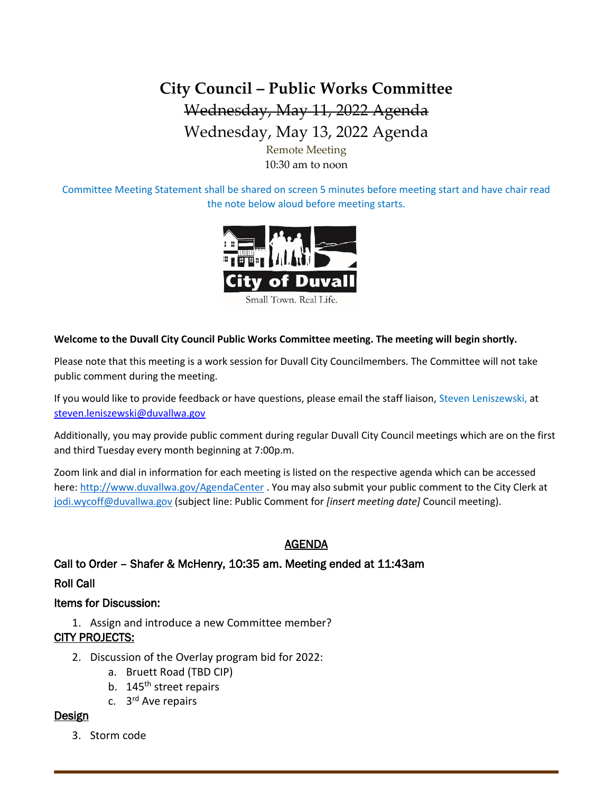# **City Council – Public Works Committee** Wednesday, May 11, 2022 Agenda Wednesday, May 13, 2022 Agenda Remote Meeting

10:30 am to noon

Committee Meeting Statement shall be shared on screen 5 minutes before meeting start and have chair read the note below aloud before meeting starts.



**Welcome to the Duvall City Council Public Works Committee meeting. The meeting will begin shortly.**

Please note that this meeting is a work session for Duvall City Councilmembers. The Committee will not take public comment during the meeting.

If you would like to provide feedback or have questions, please email the staff liaison, Steven Leniszewski, at [steven.leniszewski@duvallwa.gov](mailto:steven.leniszewski@duvallwa.gov)

Additionally, you may provide public comment during regular Duvall City Council meetings which are on the first and third Tuesday every month beginning at 7:00p.m.

Zoom link and dial in information for each meeting is listed on the respective agenda which can be accessed here:<http://www.duvallwa.gov/AgendaCenter> . You may also submit your public comment to the City Clerk at [jodi.wycoff@duvallwa.gov](mailto:jodi.wycoff@duvallwa.gov) (subject line: Public Comment for *[insert meeting date]* Council meeting).

### AGENDA

Call to Order – Shafer & McHenry, 10:35 am. Meeting ended at 11:43am

Roll Call

#### Items for Discussion:

1. Assign and introduce a new Committee member? CITY PROJECTS:

- 2. Discussion of the Overlay program bid for 2022:
	- a. Bruett Road (TBD CIP)
	- b. 145<sup>th</sup> street repairs
	- c. 3<sup>rd</sup> Ave repairs

#### **Design**

3. Storm code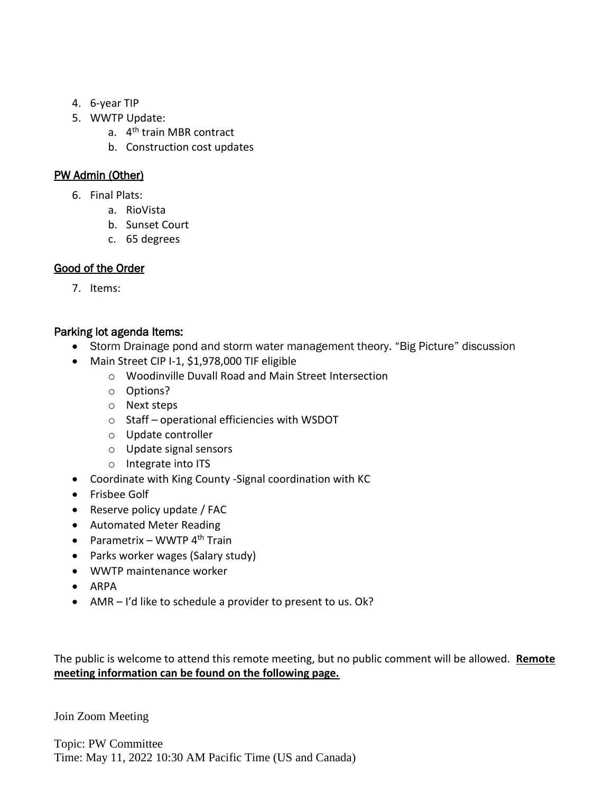- 4. 6-year TIP
- 5. WWTP Update:
	- a. 4<sup>th</sup> train MBR contract
	- b. Construction cost updates

## PW Admin (Other)

- 6. Final Plats:
	- a. RioVista
	- b. Sunset Court
	- c. 65 degrees

## Good of the Order

7. Items:

## Parking lot agenda Items:

- Storm Drainage pond and storm water management theory. "Big Picture" discussion
- Main Street CIP I-1, \$1,978,000 TIF eligible
	- o Woodinville Duvall Road and Main Street Intersection
	- o Options?
	- o Next steps
	- o Staff operational efficiencies with WSDOT
	- o Update controller
	- o Update signal sensors
	- o Integrate into ITS
- Coordinate with King County -Signal coordination with KC
- Frisbee Golf
- Reserve policy update / FAC
- Automated Meter Reading
- Parametrix WWTP  $4<sup>th</sup>$  Train
- Parks worker wages (Salary study)
- WWTP maintenance worker
- ARPA
- AMR I'd like to schedule a provider to present to us. Ok?

The public is welcome to attend this remote meeting, but no public comment will be allowed. **Remote meeting information can be found on the following page.**

Join Zoom Meeting

Topic: PW Committee Time: May 11, 2022 10:30 AM Pacific Time (US and Canada)